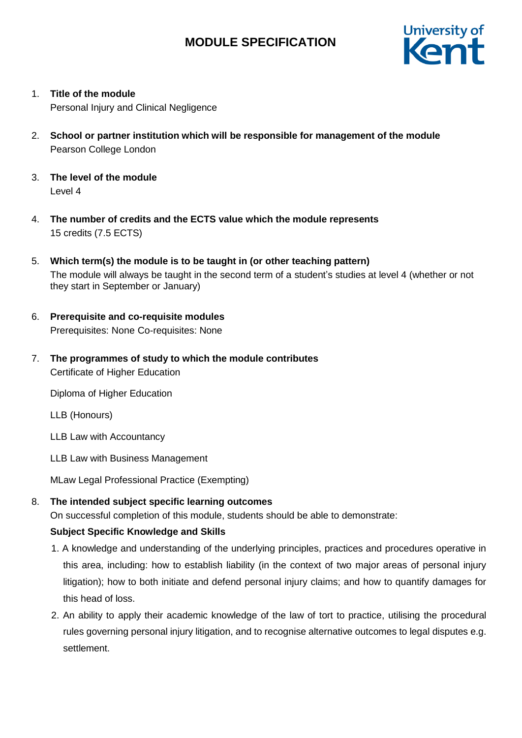

1. **Title of the module**

Personal Injury and Clinical Negligence

- 2. **School or partner institution which will be responsible for management of the module** Pearson College London
- 3. **The level of the module** Level 4
- 4. **The number of credits and the ECTS value which the module represents** 15 credits (7.5 ECTS)
- 5. **Which term(s) the module is to be taught in (or other teaching pattern)** The module will always be taught in the second term of a student's studies at level 4 (whether or not they start in September or January)
- 6. **Prerequisite and co-requisite modules**  Prerequisites: None Co-requisites: None
- 7. **The programmes of study to which the module contributes** Certificate of Higher Education

Diploma of Higher Education

LLB (Honours)

LLB Law with Accountancy

LLB Law with Business Management

MLaw Legal Professional Practice (Exempting)

8. **The intended subject specific learning outcomes**

On successful completion of this module, students should be able to demonstrate:

### **Subject Specific Knowledge and Skills**

- 1. A knowledge and understanding of the underlying principles, practices and procedures operative in this area, including: how to establish liability (in the context of two major areas of personal injury litigation); how to both initiate and defend personal injury claims; and how to quantify damages for this head of loss.
- 2. An ability to apply their academic knowledge of the law of tort to practice, utilising the procedural rules governing personal injury litigation, and to recognise alternative outcomes to legal disputes e.g. settlement.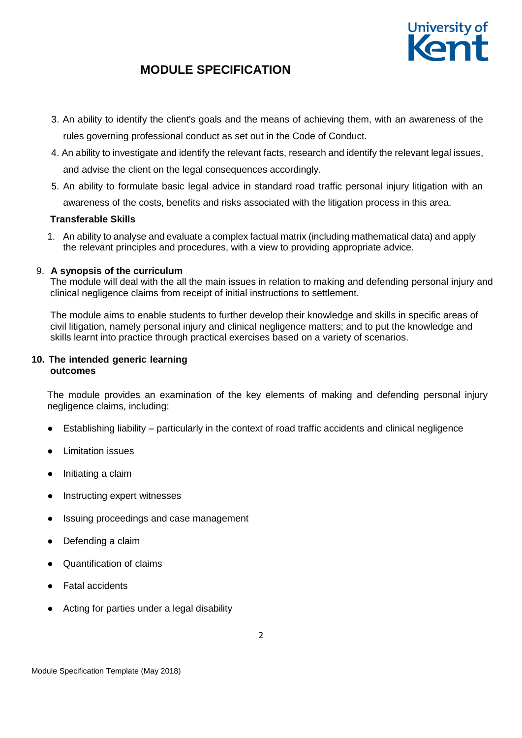

- 3. An ability to identify the client's goals and the means of achieving them, with an awareness of the rules governing professional conduct as set out in the Code of Conduct.
- 4. An ability to investigate and identify the relevant facts, research and identify the relevant legal issues, and advise the client on the legal consequences accordingly.
- 5. An ability to formulate basic legal advice in standard road traffic personal injury litigation with an

awareness of the costs, benefits and risks associated with the litigation process in this area.

### **Transferable Skills**

1. An ability to analyse and evaluate a complex factual matrix (including mathematical data) and apply the relevant principles and procedures, with a view to providing appropriate advice.

### 9. **A synopsis of the curriculum**

The module will deal with the all the main issues in relation to making and defending personal injury and clinical negligence claims from receipt of initial instructions to settlement.

The module aims to enable students to further develop their knowledge and skills in specific areas of civil litigation, namely personal injury and clinical negligence matters; and to put the knowledge and skills learnt into practice through practical exercises based on a variety of scenarios.

#### **10. The intended generic learning outcomes**

The module provides an examination of the key elements of making and defending personal injury negligence claims, including:

- Establishing liability particularly in the context of road traffic accidents and clinical negligence
- Limitation issues
- Initiating a claim
- Instructing expert witnesses
- Issuing proceedings and case management
- Defending a claim
- Quantification of claims
- **Fatal accidents**
- Acting for parties under a legal disability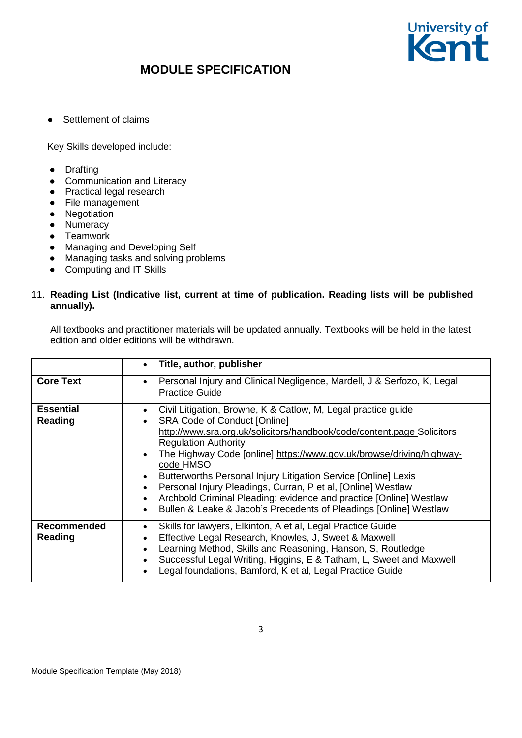

● Settlement of claims

Key Skills developed include:

- Drafting
- Communication and Literacy
- Practical legal research
- File management
- Negotiation
- Numeracy
- Teamwork
- Managing and Developing Self
- Managing tasks and solving problems
- Computing and IT Skills

### 11. **Reading List (Indicative list, current at time of publication. Reading lists will be published annually).**

All textbooks and practitioner materials will be updated annually. Textbooks will be held in the latest edition and older editions will be withdrawn.

|                             | Title, author, publisher<br>$\bullet$                                                                                                                                                                                                                                                                                                                                                                                                                                                                                                                                                                                                                         |
|-----------------------------|---------------------------------------------------------------------------------------------------------------------------------------------------------------------------------------------------------------------------------------------------------------------------------------------------------------------------------------------------------------------------------------------------------------------------------------------------------------------------------------------------------------------------------------------------------------------------------------------------------------------------------------------------------------|
| <b>Core Text</b>            | Personal Injury and Clinical Negligence, Mardell, J & Serfozo, K, Legal<br>$\bullet$<br><b>Practice Guide</b>                                                                                                                                                                                                                                                                                                                                                                                                                                                                                                                                                 |
| <b>Essential</b><br>Reading | Civil Litigation, Browne, K & Catlow, M, Legal practice guide<br>$\bullet$<br><b>SRA Code of Conduct [Online]</b><br>$\bullet$<br>http://www.sra.org.uk/solicitors/handbook/code/content.page Solicitors<br><b>Regulation Authority</b><br>The Highway Code [online] https://www.gov.uk/browse/driving/highway-<br>$\bullet$<br>code HMSO<br>Butterworths Personal Injury Litigation Service [Online] Lexis<br>Personal Injury Pleadings, Curran, P et al, [Online] Westlaw<br>$\bullet$<br>Archbold Criminal Pleading: evidence and practice [Online] Westlaw<br>$\bullet$<br>Bullen & Leake & Jacob's Precedents of Pleadings [Online] Westlaw<br>$\bullet$ |
| Recommended<br>Reading      | Skills for lawyers, Elkinton, A et al, Legal Practice Guide<br>$\bullet$<br>Effective Legal Research, Knowles, J, Sweet & Maxwell<br>$\bullet$<br>Learning Method, Skills and Reasoning, Hanson, S, Routledge<br>$\bullet$<br>Successful Legal Writing, Higgins, E & Tatham, L, Sweet and Maxwell<br>Legal foundations, Bamford, K et al, Legal Practice Guide<br>$\bullet$                                                                                                                                                                                                                                                                                   |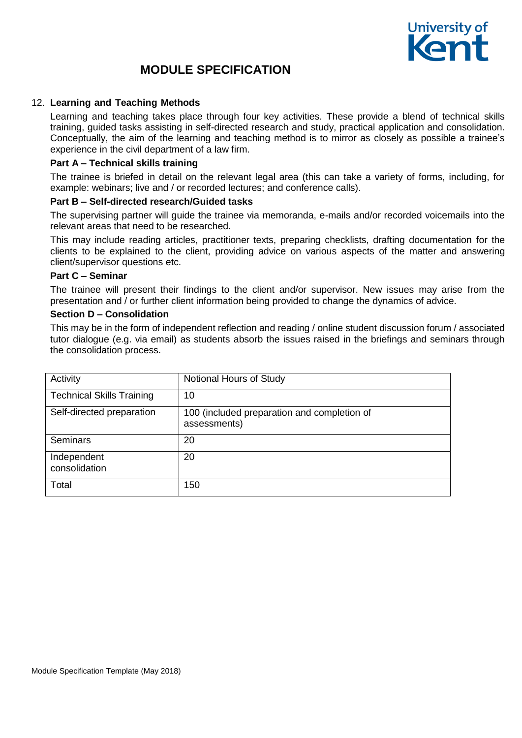

### 12. **Learning and Teaching Methods**

Learning and teaching takes place through four key activities. These provide a blend of technical skills training, guided tasks assisting in self-directed research and study, practical application and consolidation. Conceptually, the aim of the learning and teaching method is to mirror as closely as possible a trainee's experience in the civil department of a law firm.

#### **Part A – Technical skills training**

The trainee is briefed in detail on the relevant legal area (this can take a variety of forms, including, for example: webinars; live and / or recorded lectures; and conference calls).

#### **Part B – Self-directed research/Guided tasks**

The supervising partner will guide the trainee via memoranda, e-mails and/or recorded voicemails into the relevant areas that need to be researched.

This may include reading articles, practitioner texts, preparing checklists, drafting documentation for the clients to be explained to the client, providing advice on various aspects of the matter and answering client/supervisor questions etc.

#### **Part C – Seminar**

The trainee will present their findings to the client and/or supervisor. New issues may arise from the presentation and / or further client information being provided to change the dynamics of advice.

#### **Section D – Consolidation**

This may be in the form of independent reflection and reading / online student discussion forum / associated tutor dialogue (e.g. via email) as students absorb the issues raised in the briefings and seminars through the consolidation process.

| Activity                         | Notional Hours of Study                                     |
|----------------------------------|-------------------------------------------------------------|
| <b>Technical Skills Training</b> | 10                                                          |
| Self-directed preparation        | 100 (included preparation and completion of<br>assessments) |
| <b>Seminars</b>                  | 20                                                          |
| Independent<br>consolidation     | 20                                                          |
| Total                            | 150                                                         |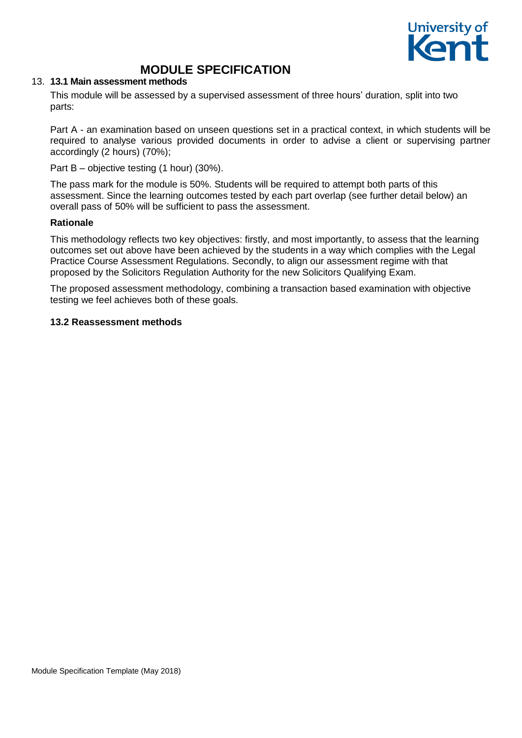

#### 13. **13.1 Main assessment methods**

This module will be assessed by a supervised assessment of three hours' duration, split into two parts:

Part A - an examination based on unseen questions set in a practical context, in which students will be required to analyse various provided documents in order to advise a client or supervising partner accordingly (2 hours) (70%);

Part B – objective testing (1 hour) (30%).

The pass mark for the module is 50%. Students will be required to attempt both parts of this assessment. Since the learning outcomes tested by each part overlap (see further detail below) an overall pass of 50% will be sufficient to pass the assessment.

### **Rationale**

This methodology reflects two key objectives: firstly, and most importantly, to assess that the learning outcomes set out above have been achieved by the students in a way which complies with the Legal Practice Course Assessment Regulations. Secondly, to align our assessment regime with that proposed by the Solicitors Regulation Authority for the new Solicitors Qualifying Exam.

The proposed assessment methodology, combining a transaction based examination with objective testing we feel achieves both of these goals.

### **13.2 Reassessment methods**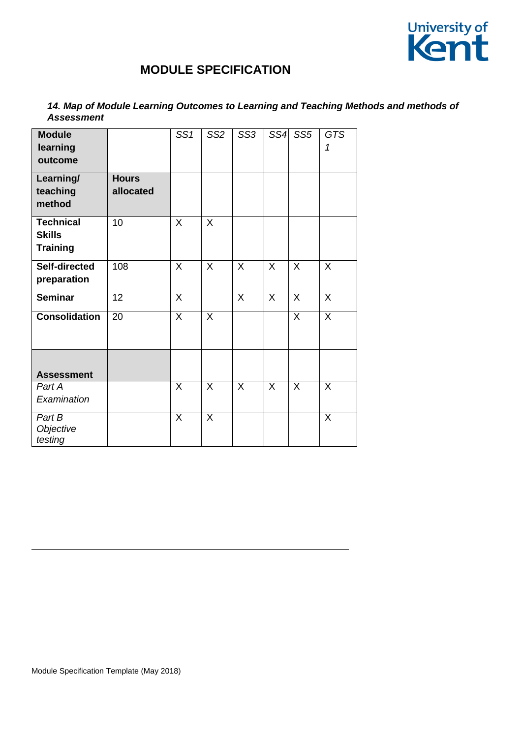

### *14. Map of Module Learning Outcomes to Learning and Teaching Methods and methods of Assessment*

| <b>Module</b><br>learning<br>outcome |                 | SS <sub>1</sub> | SS <sub>2</sub> | SS <sub>3</sub> | SS4     | SS <sub>5</sub> | <b>GTS</b><br>1 |
|--------------------------------------|-----------------|-----------------|-----------------|-----------------|---------|-----------------|-----------------|
| Learning/                            | <b>Hours</b>    |                 |                 |                 |         |                 |                 |
| teaching                             | allocated       |                 |                 |                 |         |                 |                 |
| method                               |                 |                 |                 |                 |         |                 |                 |
| <b>Technical</b>                     | 10              | X               | $\sf X$         |                 |         |                 |                 |
| <b>Skills</b>                        |                 |                 |                 |                 |         |                 |                 |
| <b>Training</b>                      |                 |                 |                 |                 |         |                 |                 |
| Self-directed                        | 108             | X               | X               | X               | $\sf X$ | $\sf X$         | X               |
| preparation                          |                 |                 |                 |                 |         |                 |                 |
| <b>Seminar</b>                       | $\overline{12}$ | X               |                 | X               | X       | X               | X               |
| <b>Consolidation</b>                 | 20              | X               | X               |                 |         | X               | X               |
|                                      |                 |                 |                 |                 |         |                 |                 |
|                                      |                 |                 |                 |                 |         |                 |                 |
| <b>Assessment</b>                    |                 |                 |                 |                 |         |                 |                 |
| Part A                               |                 | X               | X               | X               | X       | X               | X               |
| Examination                          |                 |                 |                 |                 |         |                 |                 |
| Part B                               |                 | X               | X               |                 |         |                 | X               |
| Objective<br>testing                 |                 |                 |                 |                 |         |                 |                 |